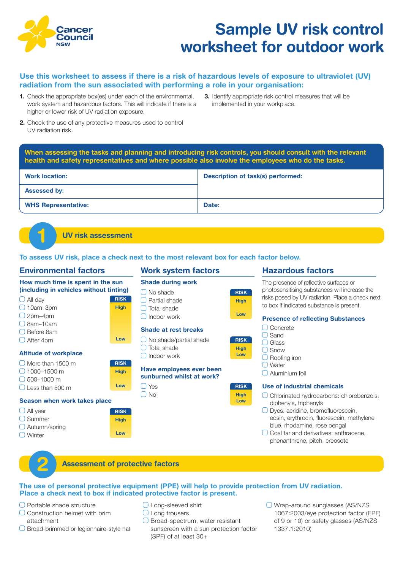

# **Sample UV risk control worksheet for outdoor work**

# **Use this worksheet to assess if there is a risk of hazardous levels of exposure to ultraviolet (UV) radiation from the sun associated with performing a role in your organisation:**

- **1.** Check the appropriate box(es) under each of the environmental, work system and hazardous factors. This will indicate if there is a higher or lower risk of UV radiation exposure.
- **3.** Identify appropriate risk control measures that will be implemented in your workplace.
- **2.** Check the use of any protective measures used to control UV radiation risk.

**When assessing the tasks and planning and introducing risk controls, you should consult with the relevant health and safety representatives and where possible also involve the employees who do the tasks.**

| <b>Work location:</b>      | <b>Description of task(s) performed:</b> |
|----------------------------|------------------------------------------|
| <b>Assessed by:</b>        |                                          |
| <b>WHS Representative:</b> | Date:                                    |

**UV risk assessment 1**

**To assess UV risk, place a check next to the most relevant box for each factor below.**

# **Environmental factors**

# **Work system factors**

**How much time is spent in the sun (including in vehicles without tinting)**  $\Box$  All day 10am–3pm  $O$  2pm–4pm  $\Box$  8am–10am Before 8am  $\Box$  After 4pm **Altitude of workplace** More than 1500 m  $\bigcap$  1000–1500 m  $\bigcap$  500–1000 m Less than 500 m **Season when work takes place**  $\Box$  All year  $\Box$  Summer  $\Box$  Autumn/spring □ Winter **Shade during work**  $\Box$  No shade Partial shade □ Total shade Indoor work **Shade at rest breaks**  $\Box$  No shade/partial shade  $\Box$  Total shade  $\bigcap$  Indoor work **Have employees ever been sunburned whilst at work?**   $\bigcap$  Yes  $\bigcap$  No O Concrete □ Sand Glass  $\bigcap$  Snow □ Roofing iron □ Water  $\bigcap$  Aluminium foil **RISK RISK RISK RISK RISK RISK High High High High High High Low Low Low Low Low Low**

# **Hazardous factors**

The presence of reflective surfaces or photosensitising substances will increase the risks posed by UV radiation. Place a check next to box if indicated substance is present.

#### **Presence of reflecting Substances**

# **Use of industrial chemicals**

- Chlorinated hydrocarbons: chlorobenzols, diphenyls, triphenyls
- O Dyes: acridine, bromofluorescein, eosin, erythrocin, fluorescein, methylene blue, rhodamine, rose bengal
- $\Box$  Coal tar and derivatives: anthracene, phenanthrene, pitch, creosote

# **2 Assessment of protective factors**

#### **The use of personal protective equipment (PPE) will help to provide protection from UV radiation. Place a check next to box if indicated protective factor is present.**

- □ Portable shade structure
- Construction helmet with brim attachment
- O Broad-brimmed or legionnaire-style hat
- **O** Long-sleeved shirt
- **O** Long trousers
- $\Box$  Broad-spectrum, water resistant sunscreen with a sun protection factor (SPF) of at least 30+
- Wrap-around sunglasses (AS/NZS 1067:2003/eye protection factor (EPF) of 9 or 10) or safety glasses (AS/NZS 1337.1:2010)